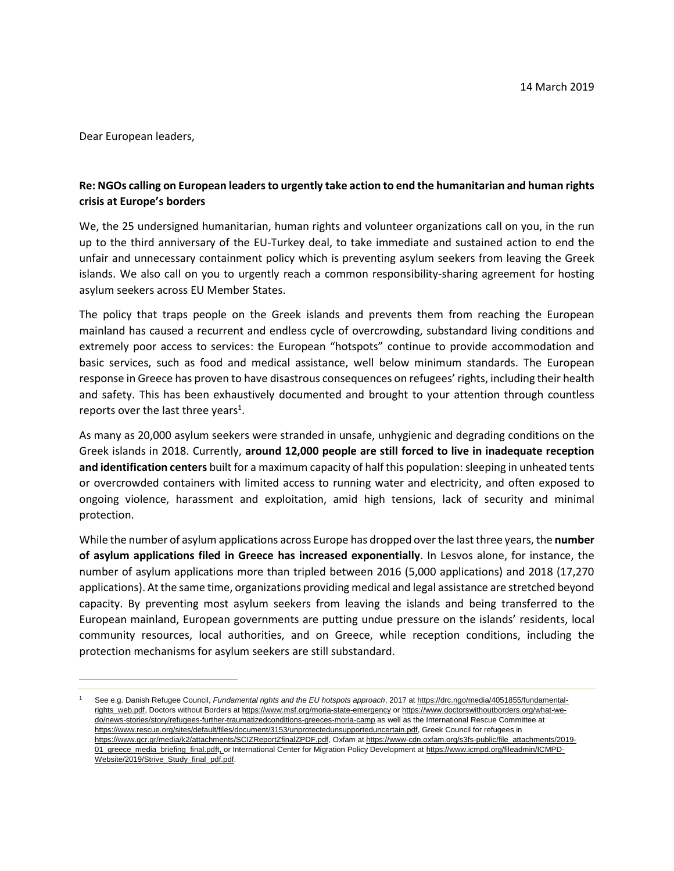Dear European leaders,

l

## **Re: NGOs calling on European leaders to urgently take action to end the humanitarian and human rights crisis at Europe's borders**

We, the 25 undersigned humanitarian, human rights and volunteer organizations call on you, in the run up to the third anniversary of the EU-Turkey deal, to take immediate and sustained action to end the unfair and unnecessary containment policy which is preventing asylum seekers from leaving the Greek islands. We also call on you to urgently reach a common responsibility-sharing agreement for hosting asylum seekers across EU Member States.

The policy that traps people on the Greek islands and prevents them from reaching the European mainland has caused a recurrent and endless cycle of overcrowding, substandard living conditions and extremely poor access to services: the European "hotspots" continue to provide accommodation and basic services, such as food and medical assistance, well below minimum standards. The European response in Greece has proven to have disastrous consequences on refugees' rights, including their health and safety. This has been exhaustively documented and brought to your attention through countless reports over the last three years<sup>1</sup>.

As many as 20,000 asylum seekers were stranded in unsafe, unhygienic and degrading conditions on the Greek islands in 2018. Currently, **around 12,000 people are still forced to live in inadequate reception and identification centers** built for a maximum capacity of half this population: sleeping in unheated tents or overcrowded containers with limited access to running water and electricity, and often exposed to ongoing violence, harassment and exploitation, amid high tensions, lack of security and minimal protection.

While the number of asylum applications across Europe has dropped over the last three years, the **number of asylum applications filed in Greece has increased exponentially**. In Lesvos alone, for instance, the number of asylum applications more than tripled between 2016 (5,000 applications) and 2018 (17,270 applications). At the same time, organizations providing medical and legal assistance are stretched beyond capacity. By preventing most asylum seekers from leaving the islands and being transferred to the European mainland, European governments are putting undue pressure on the islands' residents, local community resources, local authorities, and on Greece, while reception conditions, including the protection mechanisms for asylum seekers are still substandard.

<sup>1</sup> See e.g. Danish Refugee Council, *Fundamental rights and the EU hotspots approach*, 2017 a[t https://drc.ngo/media/4051855/fundamental](https://drc.ngo/media/4051855/fundamental-rights_web.pdf)[rights\\_web.pdf,](https://drc.ngo/media/4051855/fundamental-rights_web.pdf) Doctors without Borders at<https://www.msf.org/moria-state-emergency> o[r https://www.doctorswithoutborders.org/what-we](https://www.doctorswithoutborders.org/what-we-do/news-stories/story/refugees-further-traumatizedconditions-greeces-moria-camp)[do/news-stories/story/refugees-further-traumatizedconditions-greeces-moria-camp](https://www.doctorswithoutborders.org/what-we-do/news-stories/story/refugees-further-traumatizedconditions-greeces-moria-camp) as well as the International Rescue Committee at [https://www.rescue.org/sites/default/files/document/3153/unprotectedunsupporteduncertain.pdf,](https://www.rescue.org/sites/default/files/document/3153/unprotectedunsupporteduncertain.pdf) Greek Council for refugees in [https://www.gcr.gr/media/k2/attachments/SCIZReportZfinalZPDF.pdf,](https://www.gcr.gr/media/k2/attachments/SCIZReportZfinalZPDF.pdf) Oxfam at [https://www-cdn.oxfam.org/s3fs-public/file\\_attachments/2019-](https://www-cdn.oxfam.org/s3fs-public/file_attachments/2019-01_greece_media_briefing_final.pdf) [01\\_greece\\_media\\_briefing\\_final.pdft,](https://www-cdn.oxfam.org/s3fs-public/file_attachments/2019-01_greece_media_briefing_final.pdf) or International Center for Migration Policy Development a[t https://www.icmpd.org/fileadmin/ICMPD-](https://www.icmpd.org/fileadmin/ICMPD-Website/2019/Strive_Study_final_pdf.pdf)[Website/2019/Strive\\_Study\\_final\\_pdf.pdf.](https://www.icmpd.org/fileadmin/ICMPD-Website/2019/Strive_Study_final_pdf.pdf)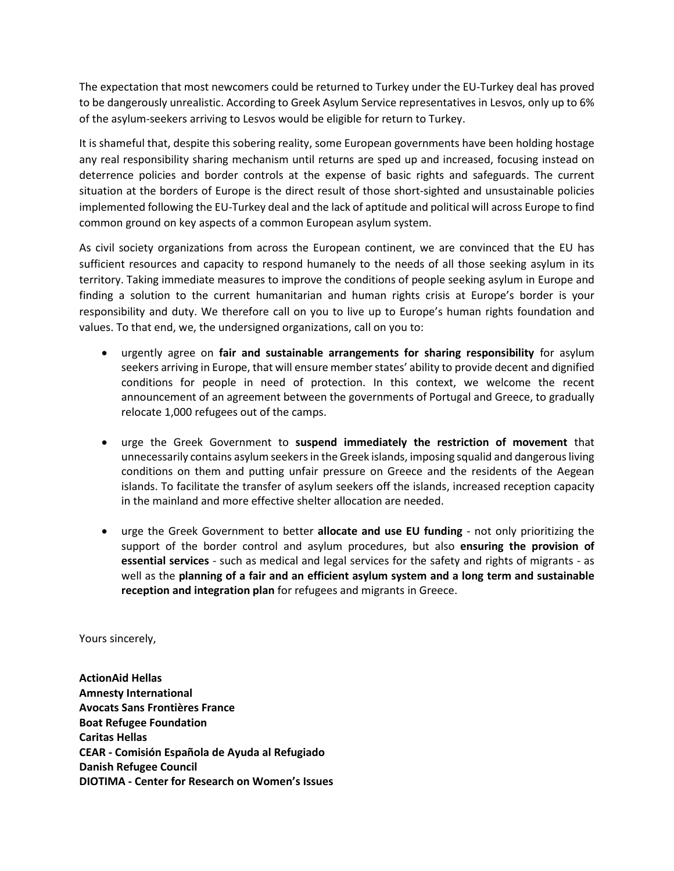The expectation that most newcomers could be returned to Turkey under the EU-Turkey deal has proved to be dangerously unrealistic. According to Greek Asylum Service representatives in Lesvos, only up to 6% of the asylum-seekers arriving to Lesvos would be eligible for return to Turkey.

It is shameful that, despite this sobering reality, some European governments have been holding hostage any real responsibility sharing mechanism until returns are sped up and increased, focusing instead on deterrence policies and border controls at the expense of basic rights and safeguards. The current situation at the borders of Europe is the direct result of those short-sighted and unsustainable policies implemented following the EU-Turkey deal and the lack of aptitude and political will across Europe to find common ground on key aspects of a common European asylum system.

As civil society organizations from across the European continent, we are convinced that the EU has sufficient resources and capacity to respond humanely to the needs of all those seeking asylum in its territory. Taking immediate measures to improve the conditions of people seeking asylum in Europe and finding a solution to the current humanitarian and human rights crisis at Europe's border is your responsibility and duty. We therefore call on you to live up to Europe's human rights foundation and values. To that end, we, the undersigned organizations, call on you to:

- urgently agree on **fair and sustainable arrangements for sharing responsibility** for asylum seekers arriving in Europe, that will ensure member states' ability to provide decent and dignified conditions for people in need of protection. In this context, we welcome the recent announcement of an agreement between the governments of Portugal and Greece, to gradually relocate 1,000 refugees out of the camps.
- urge the Greek Government to **suspend immediately the restriction of movement** that unnecessarily contains asylum seekers in the Greek islands, imposing squalid and dangerous living conditions on them and putting unfair pressure on Greece and the residents of the Aegean islands. To facilitate the transfer of asylum seekers off the islands, increased reception capacity in the mainland and more effective shelter allocation are needed.
- urge the Greek Government to better **allocate and use EU funding** not only prioritizing the support of the border control and asylum procedures, but also **ensuring the provision of essential services** - such as medical and legal services for the safety and rights of migrants - as well as the **planning of a fair and an efficient asylum system and a long term and sustainable reception and integration plan** for refugees and migrants in Greece.

Yours sincerely,

**ActionAid Hellas Amnesty International Avocats Sans Frontières France Boat Refugee Foundation Caritas Hellas CEAR - Comisión Española de Ayuda al Refugiado Danish Refugee Council DIOTIMA - Center for Research on Women's Issues**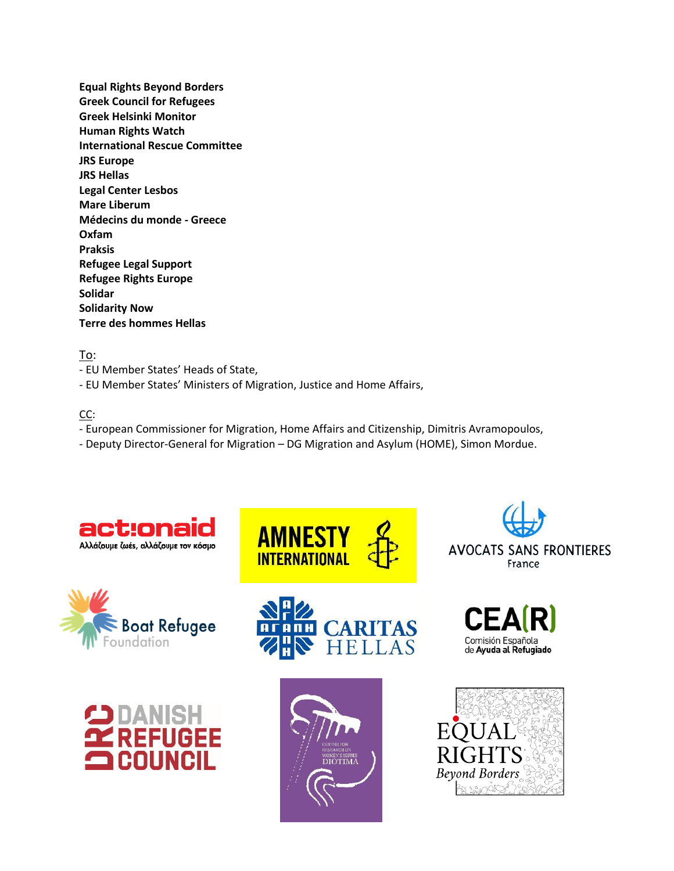**Equal Rights Beyond Borders Greek Council for Refugees Greek Helsinki Monitor Human Rights Watch International Rescue Committee JRS Europe JRS Hellas Legal Center Lesbos Mare Liberum Médecins du monde - Greece Oxfam Praksis Refugee Legal Support Refugee Rights Europe Solidar Solidarity Now Terre des hommes Hellas**

## To:

- EU Member States' Heads of State,
- EU Member States' Ministers of Migration, Justice and Home Affairs,

## CC:

- European Commissioner for Migration, Home Affairs and Citizenship, Dimitris Avramopoulos,
- Deputy Director-General for Migration DG Migration and Asylum (HOME), Simon Mordue.

**AMNESTY**<br>INTERNATIONAL